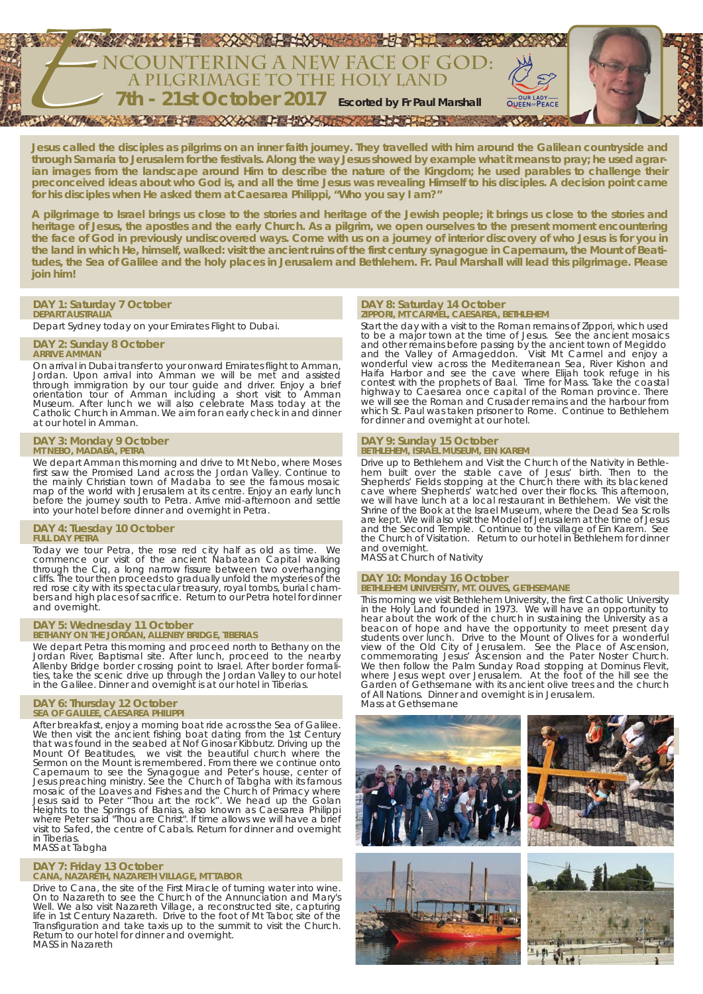

**Jesus called the disciples as pilgrims on an inner faith journey. They travelled with him around the Galilean countryside and through Samaria to Jerusalem for the festivals. Along the way Jesus showed by example what it means to pray; he used agrarian images from the landscape around Him to describe the nature of the Kingdom; he used parables to challenge their preconceived ideas about who God is, and all the time Jesus was revealing Himself to his disciples. A decision point came for his disciples when He asked them at Caesarea Philippi, "Who you say I am?"**

**A pilgrimage to Israel brings us close to the stories and heritage of the Jewish people; it brings us close to the stories and heritage of Jesus, the apostles and the early Church. As a pilgrim, we open ourselves to the present moment encountering the face of God in previously undiscovered ways. Come with us on a journey of interior discovery of who Jesus is for you in the land in which He, himself, walked: visit the ancient ruins of the first century synagogue in Capernaum, the Mount of Beatitudes, the Sea of Galilee and the holy places in Jerusalem and Bethlehem. Fr. Paul Marshall will lead this pilgrimage. Please join him!**

# **DAY 1: Saturday 7 October**

**DEPART AUSTRALIA** Depart Sydney today on your Emirates Flight to Dubai.

# **DAY 2: Sunday 8 October**

**ARRIVE AMMAN** On arrival in Dubai transfer to your onward Emirates flight to Amman, Jordan. Upon arrival into Amman we will be met and assisted through immigration by our tour guide and driver. Enjoy a brief orientation tour of Amman including a short visit to Amman Museum. After lunch we will also celebrate Mass today at the

# **DAY 3: Monday 9 October MT NEBO, MADABA, PETRA**

at our hotel in Amman.

We depart Amman this morning and drive to Mt Nebo, where Moses first saw the Promised Land across the Jordan Valley. Continue to the mainly Christian town of Madaba to see the famous mosaic map of the world with Jerusalem at its centre. Enjoy an early lunch before the journey south to Petra. Arrive mid-afternoon and settle into your hotel before dinner and overnight in Petra.

Catholic Church in Amman. We aim for an early check in and dinner

### **DAY 4: Tuesday 10 October FULL DAY PETRA**

Today we tour Petra, the rose red city half as old as time. We commence our visit of the ancient Nabatean Capital walking through the Ciq, a long narrow fissure between two overhanging cliffs. The tour then proceeds to gradually unfold the mysteries of the red rose city with its spectacular treasury, royal tombs, burial chambers and high places of sacrifice. Return to our Petra hotel for dinner and overnight.

# **DAY 5: Wednesday 11 October BETHANY ON THE JORDAN, ALLENBY BRIDGE, TIBERIAS**

We depart Petra this morning and proceed north to Bethany on the Jordan River, Baptismal site. After lunch, proceed to the nearby Allenby Bridge border crossing point to Israel. After border formalities, take the scenic drive up through the Jordan Valley to our hotel in the Galilee. Dinner and overnight is at our hotel in Tiberias.

# **DAY 6: Thursday 12 October SEA OF GALILEE, CAESAREA PHILIPPI**

After breakfast, enjoy a morning boat ride across the Sea of Galilee. We then visit the ancient fishing boat dating from the 1st Century that was found in the seabed at Nof Ginosar Kibbutz. Driving up the Mount Of Beatitudes, we visit the beautiful church where the Sermon on the Mount is remembered. From there we continue onto Capernaum to see the Synagogue and Peter's house, center of Jesus preaching ministry. See the Church of Tabgha with its famous mosaic of the Loaves and Fishes and the Church of Primacy where Jesus said to Peter "Thou art the rock". We head up the Golan Heights to the Springs of Banias, also known as Caesarea Philippi where Peter said "Thou are Christ". If time allows we will have a brief visit to Safed, the centre of Cabals. Return for dinner and overnight in Tiberias.

### MASS at Tabgha

#### **DAY 7: Friday 13 October CANA, NAZARETH, NAZARETH VILLAGE, MT TABOR**

Drive to Cana, the site of the First Miracle of turning water into wine. On to Nazareth to see the Church of the Annunciation and Mary's Well. We also visit Nazareth Village, a reconstructed site, capturing life in 1st Century Nazareth. Drive to the foot of Mt Tabor, site of the Transfiguration and take taxis up to the summit to visit the Church. Return to our hotel for dinner and overnight. MASS in Nazareth

### **DAY 8: Saturday 14 October ZIPPORI, MT CARMEL, CAESAREA, BETHLEHEM**

Start the day with a visit to the Roman remains of Zippori, which used to be a major town at the time of Jesus. See the ancient mosaics and other remains before passing by the ancient town of Megiddo and the Valley of Armageddon. Visit Mt Carmel and enjoy a wonderful view across the Mediterranean Sea, River Kishon and Haifa Harbor and see the cave where Elijah took refuge in his contest with the prophets of Baal. Time for Mass. Take the coastal highway to Caesarea once capital of the Roman province. There we will see the Roman and Crusader remains and the harbour from which St. Paul was taken prisoner to Rome. Continue to Bethlehem for dinner and overnight at our hotel.

# **DAY 9: Sunday 15 October BETHLEHEM, ISRAEL MUSEUM, EIN KAREM**

Drive up to Bethlehem and Visit the Church of the Nativity in Bethlehem built over the stable cave of Jesus' birth. Then to the Shepherds' Fields stopping at the Church there with its blackened cave where Shepherds' watched over their flocks. This afternoon, we will have lunch at a local restaurant in Bethlehem. We visit the Shrine of the Book at the Israel Museum, where the Dead Sea Scrolls are kept. We will also visit the Model of Jerusalem at the time of Jesus and the Second Temple. Continue to the village of Ein Karem. See the Church of Visitation. Return to our hotel in Bethlehem for dinner

and overnight. MASS at Church of Nativity

# **DAY 10: Monday 16 October BETHLEHEM UNIVERSITY, MT. OLIVES, GETHSEMANE**

This morning we visit Bethlehem University, the first Catholic University in the Holy Land founded in 1973. We will have an opportunity to hear about the work of the church in sustaining the University as a beacon of hope and have the opportunity to meet present day students over lunch. Drive to the Mount of Olives for a wonderful view of the Old City of Jerusalem. See the Place of Ascension, commemorating Jesus' Ascension and the Pater Noster Church. We then follow the Palm Sunday Road stopping at Dominus Flevit, where Jesus wept over Jerusalem. At the foot of the hill see the Garden of Gethsemane with its ancient olive trees and the church of All Nations. Dinner and overnight is in Jerusalem. Mass at Gethsemane